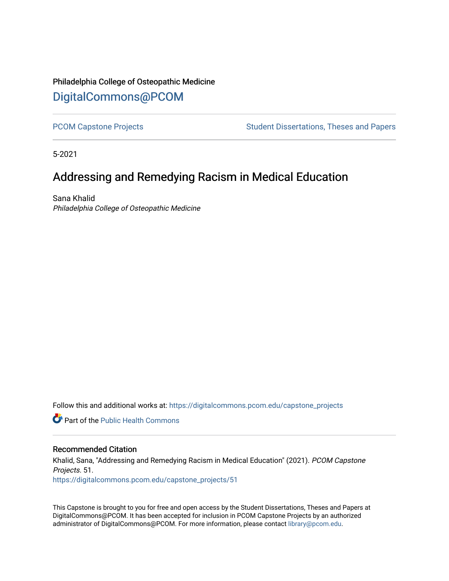# Philadelphia College of Osteopathic Medicine [DigitalCommons@PCOM](https://digitalcommons.pcom.edu/)

[PCOM Capstone Projects](https://digitalcommons.pcom.edu/capstone_projects) **Student Dissertations, Theses and Papers** Student Dissertations, Theses and Papers

5-2021

# Addressing and Remedying Racism in Medical Education

Sana Khalid Philadelphia College of Osteopathic Medicine

Follow this and additional works at: [https://digitalcommons.pcom.edu/capstone\\_projects](https://digitalcommons.pcom.edu/capstone_projects?utm_source=digitalcommons.pcom.edu%2Fcapstone_projects%2F51&utm_medium=PDF&utm_campaign=PDFCoverPages)

**C** Part of the Public Health Commons

#### Recommended Citation

Khalid, Sana, "Addressing and Remedying Racism in Medical Education" (2021). PCOM Capstone Projects. 51. [https://digitalcommons.pcom.edu/capstone\\_projects/51](https://digitalcommons.pcom.edu/capstone_projects/51?utm_source=digitalcommons.pcom.edu%2Fcapstone_projects%2F51&utm_medium=PDF&utm_campaign=PDFCoverPages) 

This Capstone is brought to you for free and open access by the Student Dissertations, Theses and Papers at DigitalCommons@PCOM. It has been accepted for inclusion in PCOM Capstone Projects by an authorized administrator of DigitalCommons@PCOM. For more information, please contact [library@pcom.edu.](mailto:library@pcom.edu)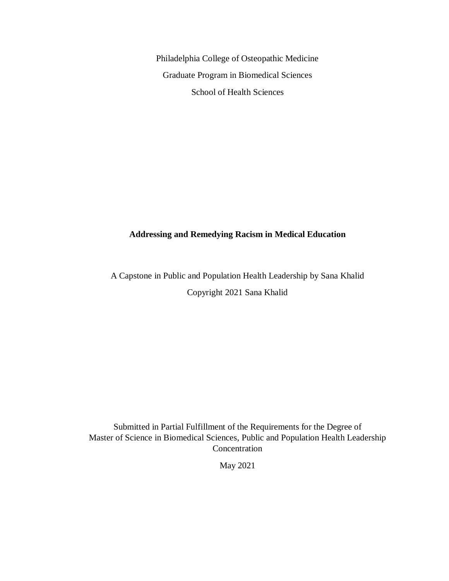Philadelphia College of Osteopathic Medicine Graduate Program in Biomedical Sciences School of Health Sciences

### **Addressing and Remedying Racism in Medical Education**

A Capstone in Public and Population Health Leadership by Sana Khalid Copyright 2021 Sana Khalid

Submitted in Partial Fulfillment of the Requirements for the Degree of Master of Science in Biomedical Sciences, Public and Population Health Leadership Concentration

May 2021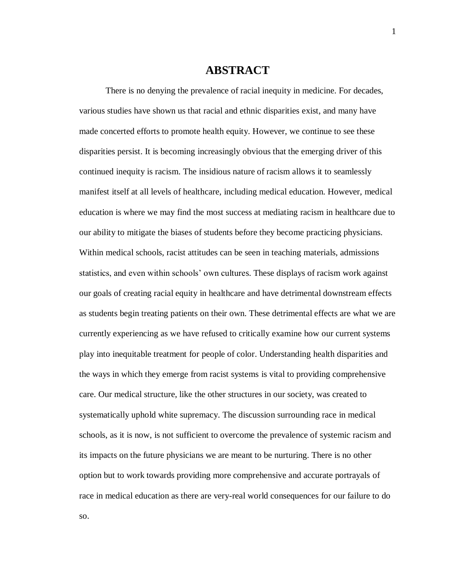### **ABSTRACT**

There is no denying the prevalence of racial inequity in medicine. For decades, various studies have shown us that racial and ethnic disparities exist, and many have made concerted efforts to promote health equity. However, we continue to see these disparities persist. It is becoming increasingly obvious that the emerging driver of this continued inequity is racism. The insidious nature of racism allows it to seamlessly manifest itself at all levels of healthcare, including medical education. However, medical education is where we may find the most success at mediating racism in healthcare due to our ability to mitigate the biases of students before they become practicing physicians. Within medical schools, racist attitudes can be seen in teaching materials, admissions statistics, and even within schools' own cultures. These displays of racism work against our goals of creating racial equity in healthcare and have detrimental downstream effects as students begin treating patients on their own. These detrimental effects are what we are currently experiencing as we have refused to critically examine how our current systems play into inequitable treatment for people of color. Understanding health disparities and the ways in which they emerge from racist systems is vital to providing comprehensive care. Our medical structure, like the other structures in our society, was created to systematically uphold white supremacy. The discussion surrounding race in medical schools, as it is now, is not sufficient to overcome the prevalence of systemic racism and its impacts on the future physicians we are meant to be nurturing. There is no other option but to work towards providing more comprehensive and accurate portrayals of race in medical education as there are very-real world consequences for our failure to do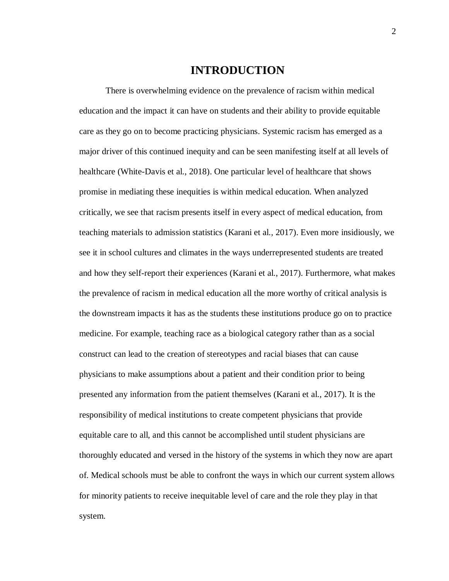### **INTRODUCTION**

There is overwhelming evidence on the prevalence of racism within medical education and the impact it can have on students and their ability to provide equitable care as they go on to become practicing physicians. Systemic racism has emerged as a major driver of this continued inequity and can be seen manifesting itself at all levels of healthcare (White-Davis et al., 2018). One particular level of healthcare that shows promise in mediating these inequities is within medical education. When analyzed critically, we see that racism presents itself in every aspect of medical education, from teaching materials to admission statistics (Karani et al., 2017). Even more insidiously, we see it in school cultures and climates in the ways underrepresented students are treated and how they self-report their experiences (Karani et al., 2017). Furthermore, what makes the prevalence of racism in medical education all the more worthy of critical analysis is the downstream impacts it has as the students these institutions produce go on to practice medicine. For example, teaching race as a biological category rather than as a social construct can lead to the creation of stereotypes and racial biases that can cause physicians to make assumptions about a patient and their condition prior to being presented any information from the patient themselves (Karani et al., 2017). It is the responsibility of medical institutions to create competent physicians that provide equitable care to all, and this cannot be accomplished until student physicians are thoroughly educated and versed in the history of the systems in which they now are apart of. Medical schools must be able to confront the ways in which our current system allows for minority patients to receive inequitable level of care and the role they play in that system.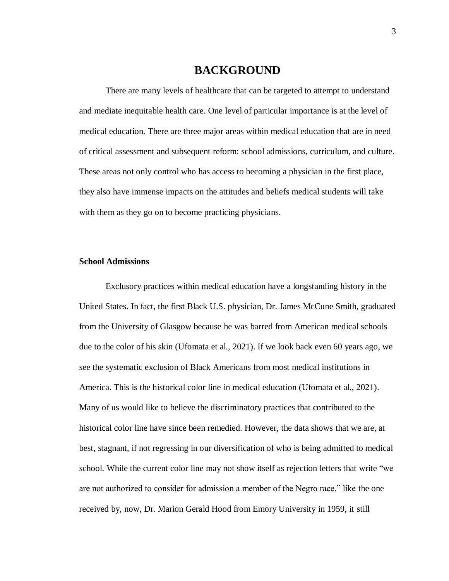### **BACKGROUND**

There are many levels of healthcare that can be targeted to attempt to understand and mediate inequitable health care. One level of particular importance is at the level of medical education. There are three major areas within medical education that are in need of critical assessment and subsequent reform: school admissions, curriculum, and culture. These areas not only control who has access to becoming a physician in the first place, they also have immense impacts on the attitudes and beliefs medical students will take with them as they go on to become practicing physicians.

#### **School Admissions**

Exclusory practices within medical education have a longstanding history in the United States. In fact, the first Black U.S. physician, Dr. James McCune Smith, graduated from the University of Glasgow because he was barred from American medical schools due to the color of his skin (Ufomata et al., 2021). If we look back even 60 years ago, we see the systematic exclusion of Black Americans from most medical institutions in America. This is the historical color line in medical education (Ufomata et al., 2021). Many of us would like to believe the discriminatory practices that contributed to the historical color line have since been remedied. However, the data shows that we are, at best, stagnant, if not regressing in our diversification of who is being admitted to medical school. While the current color line may not show itself as rejection letters that write "we are not authorized to consider for admission a member of the Negro race," like the one received by, now, Dr. Marion Gerald Hood from Emory University in 1959, it still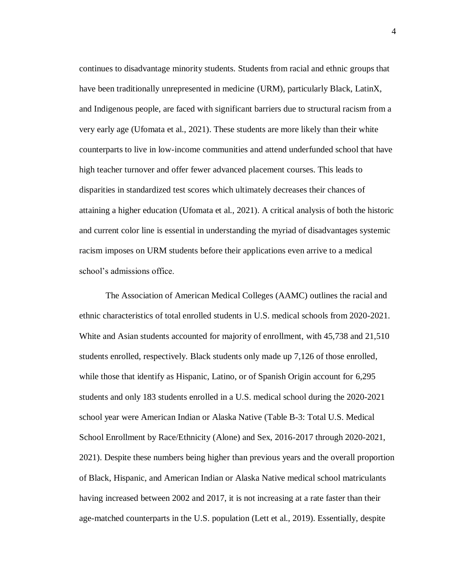continues to disadvantage minority students. Students from racial and ethnic groups that have been traditionally unrepresented in medicine (URM), particularly Black, LatinX, and Indigenous people, are faced with significant barriers due to structural racism from a very early age (Ufomata et al., 2021). These students are more likely than their white counterparts to live in low-income communities and attend underfunded school that have high teacher turnover and offer fewer advanced placement courses. This leads to disparities in standardized test scores which ultimately decreases their chances of attaining a higher education (Ufomata et al., 2021). A critical analysis of both the historic and current color line is essential in understanding the myriad of disadvantages systemic racism imposes on URM students before their applications even arrive to a medical school's admissions office.

The Association of American Medical Colleges (AAMC) outlines the racial and ethnic characteristics of total enrolled students in U.S. medical schools from 2020-2021. White and Asian students accounted for majority of enrollment, with 45,738 and 21,510 students enrolled, respectively. Black students only made up 7,126 of those enrolled, while those that identify as Hispanic, Latino, or of Spanish Origin account for 6,295 students and only 183 students enrolled in a U.S. medical school during the 2020-2021 school year were American Indian or Alaska Native (Table B-3: Total U.S. Medical School Enrollment by Race/Ethnicity (Alone) and Sex, 2016-2017 through 2020-2021, 2021). Despite these numbers being higher than previous years and the overall proportion of Black, Hispanic, and American Indian or Alaska Native medical school matriculants having increased between 2002 and 2017, it is not increasing at a rate faster than their age-matched counterparts in the U.S. population (Lett et al., 2019). Essentially, despite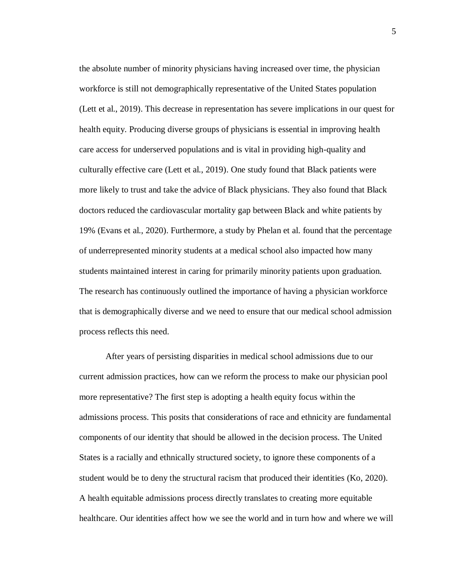the absolute number of minority physicians having increased over time, the physician workforce is still not demographically representative of the United States population (Lett et al., 2019). This decrease in representation has severe implications in our quest for health equity. Producing diverse groups of physicians is essential in improving health care access for underserved populations and is vital in providing high-quality and culturally effective care (Lett et al., 2019). One study found that Black patients were more likely to trust and take the advice of Black physicians. They also found that Black doctors reduced the cardiovascular mortality gap between Black and white patients by 19% (Evans et al., 2020). Furthermore, a study by Phelan et al. found that the percentage of underrepresented minority students at a medical school also impacted how many students maintained interest in caring for primarily minority patients upon graduation. The research has continuously outlined the importance of having a physician workforce that is demographically diverse and we need to ensure that our medical school admission process reflects this need.

After years of persisting disparities in medical school admissions due to our current admission practices, how can we reform the process to make our physician pool more representative? The first step is adopting a health equity focus within the admissions process. This posits that considerations of race and ethnicity are fundamental components of our identity that should be allowed in the decision process. The United States is a racially and ethnically structured society, to ignore these components of a student would be to deny the structural racism that produced their identities (Ko, 2020). A health equitable admissions process directly translates to creating more equitable healthcare. Our identities affect how we see the world and in turn how and where we will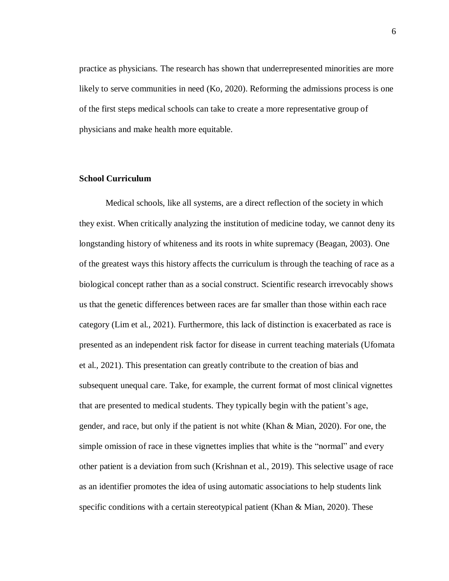practice as physicians. The research has shown that underrepresented minorities are more likely to serve communities in need (Ko, 2020). Reforming the admissions process is one of the first steps medical schools can take to create a more representative group of physicians and make health more equitable.

#### **School Curriculum**

Medical schools, like all systems, are a direct reflection of the society in which they exist. When critically analyzing the institution of medicine today, we cannot deny its longstanding history of whiteness and its roots in white supremacy (Beagan, 2003). One of the greatest ways this history affects the curriculum is through the teaching of race as a biological concept rather than as a social construct. Scientific research irrevocably shows us that the genetic differences between races are far smaller than those within each race category (Lim et al., 2021). Furthermore, this lack of distinction is exacerbated as race is presented as an independent risk factor for disease in current teaching materials (Ufomata et al., 2021). This presentation can greatly contribute to the creation of bias and subsequent unequal care. Take, for example, the current format of most clinical vignettes that are presented to medical students. They typically begin with the patient's age, gender, and race, but only if the patient is not white (Khan & Mian, 2020). For one, the simple omission of race in these vignettes implies that white is the "normal" and every other patient is a deviation from such (Krishnan et al., 2019). This selective usage of race as an identifier promotes the idea of using automatic associations to help students link specific conditions with a certain stereotypical patient (Khan & Mian, 2020). These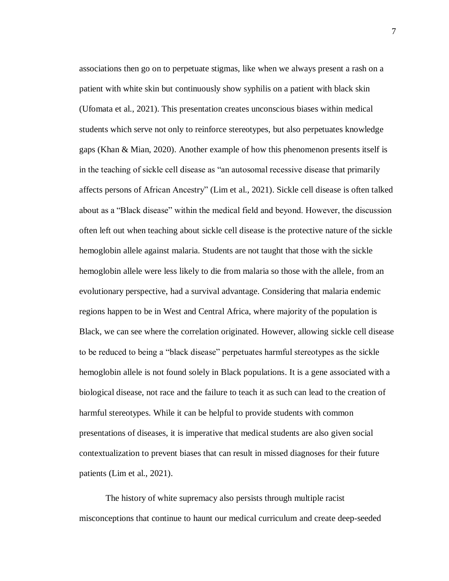associations then go on to perpetuate stigmas, like when we always present a rash on a patient with white skin but continuously show syphilis on a patient with black skin (Ufomata et al., 2021). This presentation creates unconscious biases within medical students which serve not only to reinforce stereotypes, but also perpetuates knowledge gaps (Khan & Mian, 2020). Another example of how this phenomenon presents itself is in the teaching of sickle cell disease as "an autosomal recessive disease that primarily affects persons of African Ancestry" (Lim et al., 2021). Sickle cell disease is often talked about as a "Black disease" within the medical field and beyond. However, the discussion often left out when teaching about sickle cell disease is the protective nature of the sickle hemoglobin allele against malaria. Students are not taught that those with the sickle hemoglobin allele were less likely to die from malaria so those with the allele, from an evolutionary perspective, had a survival advantage. Considering that malaria endemic regions happen to be in West and Central Africa, where majority of the population is Black, we can see where the correlation originated. However, allowing sickle cell disease to be reduced to being a "black disease" perpetuates harmful stereotypes as the sickle hemoglobin allele is not found solely in Black populations. It is a gene associated with a biological disease, not race and the failure to teach it as such can lead to the creation of harmful stereotypes. While it can be helpful to provide students with common presentations of diseases, it is imperative that medical students are also given social contextualization to prevent biases that can result in missed diagnoses for their future patients (Lim et al., 2021).

The history of white supremacy also persists through multiple racist misconceptions that continue to haunt our medical curriculum and create deep-seeded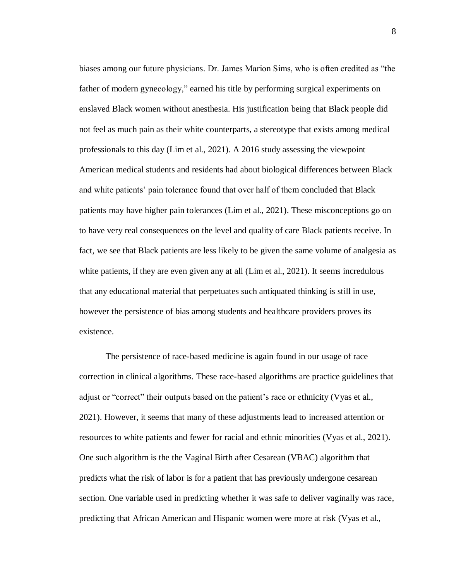biases among our future physicians. Dr. James Marion Sims, who is often credited as "the father of modern gynecology," earned his title by performing surgical experiments on enslaved Black women without anesthesia. His justification being that Black people did not feel as much pain as their white counterparts, a stereotype that exists among medical professionals to this day (Lim et al., 2021). A 2016 study assessing the viewpoint American medical students and residents had about biological differences between Black and white patients' pain tolerance found that over half of them concluded that Black patients may have higher pain tolerances (Lim et al., 2021). These misconceptions go on to have very real consequences on the level and quality of care Black patients receive. In fact, we see that Black patients are less likely to be given the same volume of analgesia as white patients, if they are even given any at all (Lim et al., 2021). It seems incredulous that any educational material that perpetuates such antiquated thinking is still in use, however the persistence of bias among students and healthcare providers proves its existence.

The persistence of race-based medicine is again found in our usage of race correction in clinical algorithms. These race-based algorithms are practice guidelines that adjust or "correct" their outputs based on the patient's race or ethnicity (Vyas et al., 2021). However, it seems that many of these adjustments lead to increased attention or resources to white patients and fewer for racial and ethnic minorities (Vyas et al., 2021). One such algorithm is the the Vaginal Birth after Cesarean (VBAC) algorithm that predicts what the risk of labor is for a patient that has previously undergone cesarean section. One variable used in predicting whether it was safe to deliver vaginally was race, predicting that African American and Hispanic women were more at risk (Vyas et al.,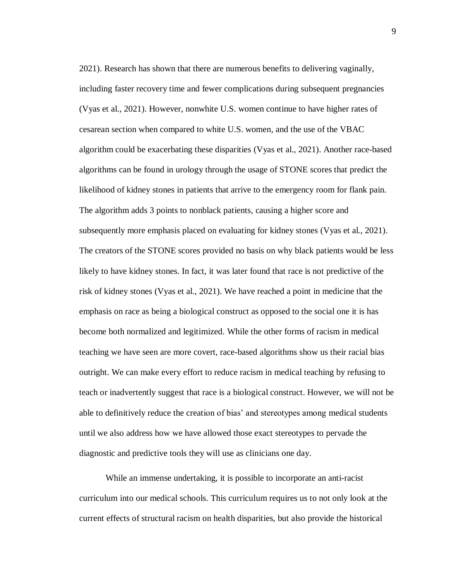2021). Research has shown that there are numerous benefits to delivering vaginally, including faster recovery time and fewer complications during subsequent pregnancies (Vyas et al., 2021). However, nonwhite U.S. women continue to have higher rates of cesarean section when compared to white U.S. women, and the use of the VBAC algorithm could be exacerbating these disparities (Vyas et al., 2021). Another race-based algorithms can be found in urology through the usage of STONE scores that predict the likelihood of kidney stones in patients that arrive to the emergency room for flank pain. The algorithm adds 3 points to nonblack patients, causing a higher score and subsequently more emphasis placed on evaluating for kidney stones (Vyas et al., 2021). The creators of the STONE scores provided no basis on why black patients would be less likely to have kidney stones. In fact, it was later found that race is not predictive of the risk of kidney stones (Vyas et al., 2021). We have reached a point in medicine that the emphasis on race as being a biological construct as opposed to the social one it is has become both normalized and legitimized. While the other forms of racism in medical teaching we have seen are more covert, race-based algorithms show us their racial bias outright. We can make every effort to reduce racism in medical teaching by refusing to teach or inadvertently suggest that race is a biological construct. However, we will not be able to definitively reduce the creation of bias' and stereotypes among medical students until we also address how we have allowed those exact stereotypes to pervade the diagnostic and predictive tools they will use as clinicians one day.

While an immense undertaking, it is possible to incorporate an anti-racist curriculum into our medical schools. This curriculum requires us to not only look at the current effects of structural racism on health disparities, but also provide the historical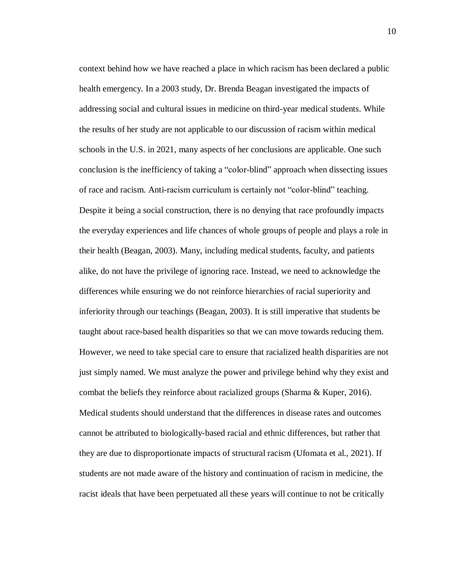context behind how we have reached a place in which racism has been declared a public health emergency. In a 2003 study, Dr. Brenda Beagan investigated the impacts of addressing social and cultural issues in medicine on third-year medical students. While the results of her study are not applicable to our discussion of racism within medical schools in the U.S. in 2021, many aspects of her conclusions are applicable. One such conclusion is the inefficiency of taking a "color-blind" approach when dissecting issues of race and racism. Anti-racism curriculum is certainly not "color-blind" teaching. Despite it being a social construction, there is no denying that race profoundly impacts the everyday experiences and life chances of whole groups of people and plays a role in their health (Beagan, 2003). Many, including medical students, faculty, and patients alike, do not have the privilege of ignoring race. Instead, we need to acknowledge the differences while ensuring we do not reinforce hierarchies of racial superiority and inferiority through our teachings (Beagan, 2003). It is still imperative that students be taught about race-based health disparities so that we can move towards reducing them. However, we need to take special care to ensure that racialized health disparities are not just simply named. We must analyze the power and privilege behind why they exist and combat the beliefs they reinforce about racialized groups (Sharma & Kuper, 2016). Medical students should understand that the differences in disease rates and outcomes cannot be attributed to biologically-based racial and ethnic differences, but rather that they are due to disproportionate impacts of structural racism (Ufomata et al., 2021). If students are not made aware of the history and continuation of racism in medicine, the racist ideals that have been perpetuated all these years will continue to not be critically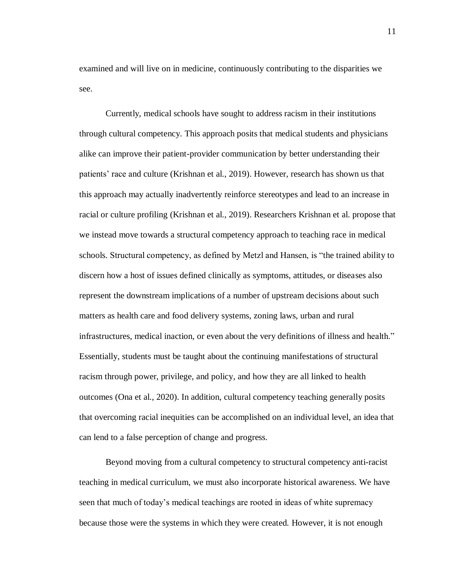examined and will live on in medicine, continuously contributing to the disparities we see.

Currently, medical schools have sought to address racism in their institutions through cultural competency. This approach posits that medical students and physicians alike can improve their patient-provider communication by better understanding their patients' race and culture (Krishnan et al., 2019). However, research has shown us that this approach may actually inadvertently reinforce stereotypes and lead to an increase in racial or culture profiling (Krishnan et al., 2019). Researchers Krishnan et al. propose that we instead move towards a structural competency approach to teaching race in medical schools. Structural competency, as defined by Metzl and Hansen, is "the trained ability to discern how a host of issues defined clinically as symptoms, attitudes, or diseases also represent the downstream implications of a number of upstream decisions about such matters as health care and food delivery systems, zoning laws, urban and rural infrastructures, medical inaction, or even about the very definitions of illness and health." Essentially, students must be taught about the continuing manifestations of structural racism through power, privilege, and policy, and how they are all linked to health outcomes (Ona et al., 2020). In addition, cultural competency teaching generally posits that overcoming racial inequities can be accomplished on an individual level, an idea that can lend to a false perception of change and progress.

Beyond moving from a cultural competency to structural competency anti-racist teaching in medical curriculum, we must also incorporate historical awareness. We have seen that much of today's medical teachings are rooted in ideas of white supremacy because those were the systems in which they were created. However, it is not enough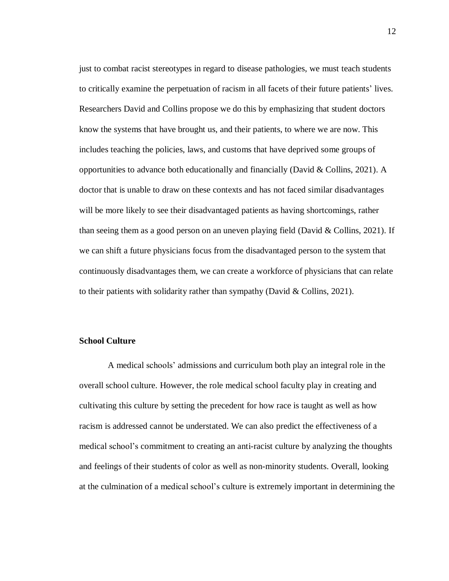just to combat racist stereotypes in regard to disease pathologies, we must teach students to critically examine the perpetuation of racism in all facets of their future patients' lives. Researchers David and Collins propose we do this by emphasizing that student doctors know the systems that have brought us, and their patients, to where we are now. This includes teaching the policies, laws, and customs that have deprived some groups of opportunities to advance both educationally and financially (David & Collins, 2021). A doctor that is unable to draw on these contexts and has not faced similar disadvantages will be more likely to see their disadvantaged patients as having shortcomings, rather than seeing them as a good person on an uneven playing field (David & Collins, 2021). If we can shift a future physicians focus from the disadvantaged person to the system that continuously disadvantages them, we can create a workforce of physicians that can relate to their patients with solidarity rather than sympathy (David & Collins, 2021).

#### **School Culture**

A medical schools' admissions and curriculum both play an integral role in the overall school culture. However, the role medical school faculty play in creating and cultivating this culture by setting the precedent for how race is taught as well as how racism is addressed cannot be understated. We can also predict the effectiveness of a medical school's commitment to creating an anti-racist culture by analyzing the thoughts and feelings of their students of color as well as non-minority students. Overall, looking at the culmination of a medical school's culture is extremely important in determining the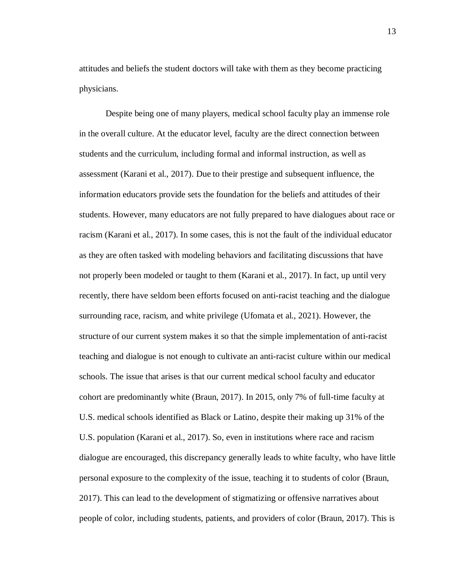attitudes and beliefs the student doctors will take with them as they become practicing physicians.

Despite being one of many players, medical school faculty play an immense role in the overall culture. At the educator level, faculty are the direct connection between students and the curriculum, including formal and informal instruction, as well as assessment (Karani et al., 2017). Due to their prestige and subsequent influence, the information educators provide sets the foundation for the beliefs and attitudes of their students. However, many educators are not fully prepared to have dialogues about race or racism (Karani et al., 2017). In some cases, this is not the fault of the individual educator as they are often tasked with modeling behaviors and facilitating discussions that have not properly been modeled or taught to them (Karani et al., 2017). In fact, up until very recently, there have seldom been efforts focused on anti-racist teaching and the dialogue surrounding race, racism, and white privilege (Ufomata et al., 2021). However, the structure of our current system makes it so that the simple implementation of anti-racist teaching and dialogue is not enough to cultivate an anti-racist culture within our medical schools. The issue that arises is that our current medical school faculty and educator cohort are predominantly white (Braun, 2017). In 2015, only 7% of full-time faculty at U.S. medical schools identified as Black or Latino, despite their making up 31% of the U.S. population (Karani et al., 2017). So, even in institutions where race and racism dialogue are encouraged, this discrepancy generally leads to white faculty, who have little personal exposure to the complexity of the issue, teaching it to students of color (Braun, 2017). This can lead to the development of stigmatizing or offensive narratives about people of color, including students, patients, and providers of color (Braun, 2017). This is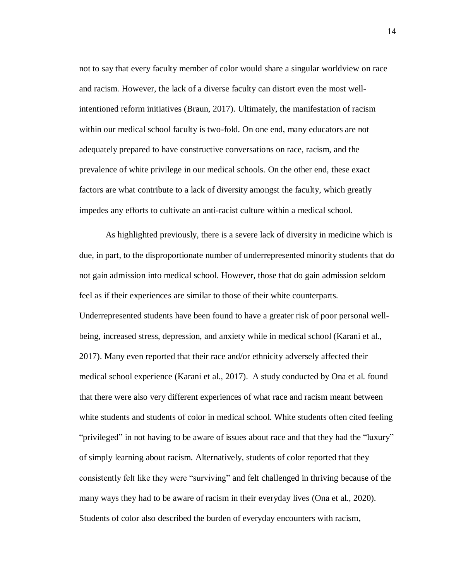not to say that every faculty member of color would share a singular worldview on race and racism. However, the lack of a diverse faculty can distort even the most wellintentioned reform initiatives (Braun, 2017). Ultimately, the manifestation of racism within our medical school faculty is two-fold. On one end, many educators are not adequately prepared to have constructive conversations on race, racism, and the prevalence of white privilege in our medical schools. On the other end, these exact factors are what contribute to a lack of diversity amongst the faculty, which greatly impedes any efforts to cultivate an anti-racist culture within a medical school.

As highlighted previously, there is a severe lack of diversity in medicine which is due, in part, to the disproportionate number of underrepresented minority students that do not gain admission into medical school. However, those that do gain admission seldom feel as if their experiences are similar to those of their white counterparts. Underrepresented students have been found to have a greater risk of poor personal wellbeing, increased stress, depression, and anxiety while in medical school (Karani et al., 2017). Many even reported that their race and/or ethnicity adversely affected their medical school experience (Karani et al., 2017). A study conducted by Ona et al. found that there were also very different experiences of what race and racism meant between white students and students of color in medical school. White students often cited feeling "privileged" in not having to be aware of issues about race and that they had the "luxury" of simply learning about racism. Alternatively, students of color reported that they consistently felt like they were "surviving" and felt challenged in thriving because of the many ways they had to be aware of racism in their everyday lives (Ona et al., 2020). Students of color also described the burden of everyday encounters with racism,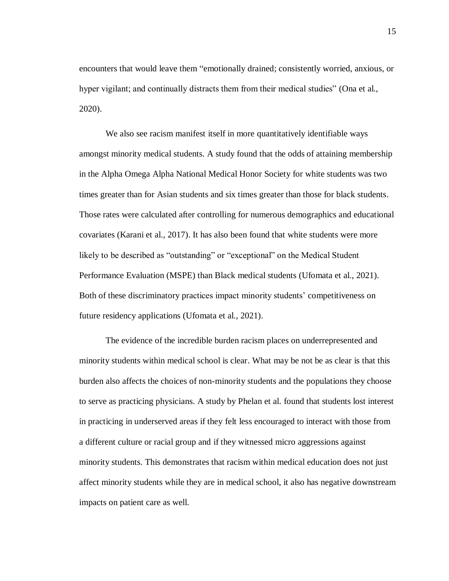encounters that would leave them "emotionally drained; consistently worried, anxious, or hyper vigilant; and continually distracts them from their medical studies" (Ona et al., 2020).

We also see racism manifest itself in more quantitatively identifiable ways amongst minority medical students. A study found that the odds of attaining membership in the Alpha Omega Alpha National Medical Honor Society for white students was two times greater than for Asian students and six times greater than those for black students. Those rates were calculated after controlling for numerous demographics and educational covariates (Karani et al., 2017). It has also been found that white students were more likely to be described as "outstanding" or "exceptional" on the Medical Student Performance Evaluation (MSPE) than Black medical students (Ufomata et al., 2021). Both of these discriminatory practices impact minority students' competitiveness on future residency applications (Ufomata et al., 2021).

The evidence of the incredible burden racism places on underrepresented and minority students within medical school is clear. What may be not be as clear is that this burden also affects the choices of non-minority students and the populations they choose to serve as practicing physicians. A study by Phelan et al. found that students lost interest in practicing in underserved areas if they felt less encouraged to interact with those from a different culture or racial group and if they witnessed micro aggressions against minority students. This demonstrates that racism within medical education does not just affect minority students while they are in medical school, it also has negative downstream impacts on patient care as well.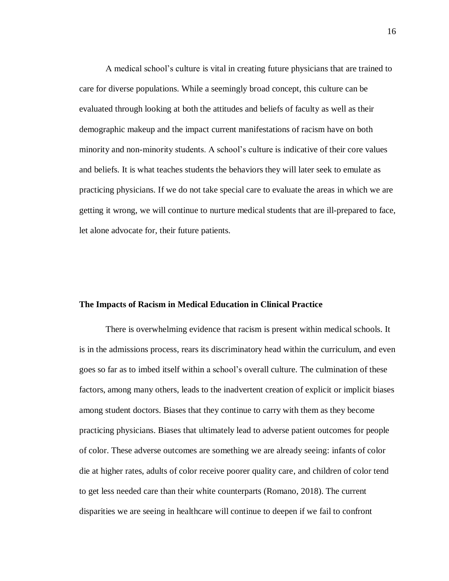A medical school's culture is vital in creating future physicians that are trained to care for diverse populations. While a seemingly broad concept, this culture can be evaluated through looking at both the attitudes and beliefs of faculty as well as their demographic makeup and the impact current manifestations of racism have on both minority and non-minority students. A school's culture is indicative of their core values and beliefs. It is what teaches students the behaviors they will later seek to emulate as practicing physicians. If we do not take special care to evaluate the areas in which we are getting it wrong, we will continue to nurture medical students that are ill-prepared to face, let alone advocate for, their future patients.

#### **The Impacts of Racism in Medical Education in Clinical Practice**

There is overwhelming evidence that racism is present within medical schools. It is in the admissions process, rears its discriminatory head within the curriculum, and even goes so far as to imbed itself within a school's overall culture. The culmination of these factors, among many others, leads to the inadvertent creation of explicit or implicit biases among student doctors. Biases that they continue to carry with them as they become practicing physicians. Biases that ultimately lead to adverse patient outcomes for people of color. These adverse outcomes are something we are already seeing: infants of color die at higher rates, adults of color receive poorer quality care, and children of color tend to get less needed care than their white counterparts (Romano, 2018). The current disparities we are seeing in healthcare will continue to deepen if we fail to confront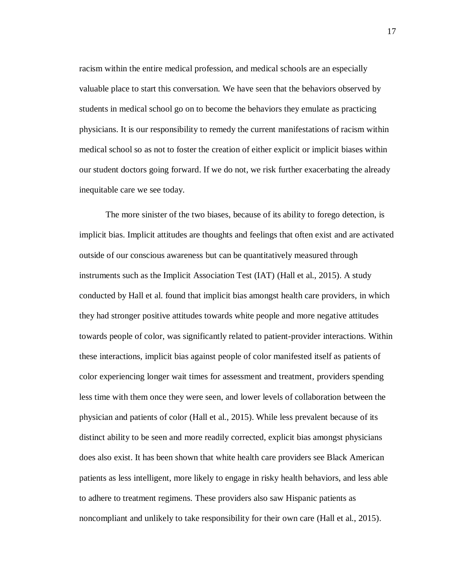racism within the entire medical profession, and medical schools are an especially valuable place to start this conversation. We have seen that the behaviors observed by students in medical school go on to become the behaviors they emulate as practicing physicians. It is our responsibility to remedy the current manifestations of racism within medical school so as not to foster the creation of either explicit or implicit biases within our student doctors going forward. If we do not, we risk further exacerbating the already inequitable care we see today.

The more sinister of the two biases, because of its ability to forego detection, is implicit bias. Implicit attitudes are thoughts and feelings that often exist and are activated outside of our conscious awareness but can be quantitatively measured through instruments such as the Implicit Association Test (IAT) (Hall et al., 2015). A study conducted by Hall et al. found that implicit bias amongst health care providers, in which they had stronger positive attitudes towards white people and more negative attitudes towards people of color, was significantly related to patient-provider interactions. Within these interactions, implicit bias against people of color manifested itself as patients of color experiencing longer wait times for assessment and treatment, providers spending less time with them once they were seen, and lower levels of collaboration between the physician and patients of color (Hall et al., 2015). While less prevalent because of its distinct ability to be seen and more readily corrected, explicit bias amongst physicians does also exist. It has been shown that white health care providers see Black American patients as less intelligent, more likely to engage in risky health behaviors, and less able to adhere to treatment regimens. These providers also saw Hispanic patients as noncompliant and unlikely to take responsibility for their own care (Hall et al., 2015).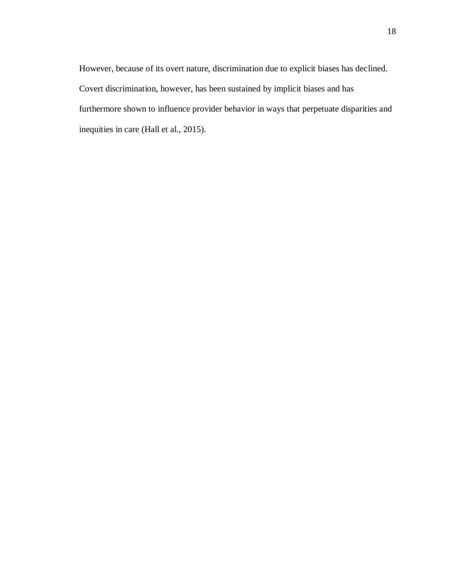However, because of its overt nature, discrimination due to explicit biases has declined. Covert discrimination, however, has been sustained by implicit biases and has furthermore shown to influence provider behavior in ways that perpetuate disparities and inequities in care (Hall et al., 2015).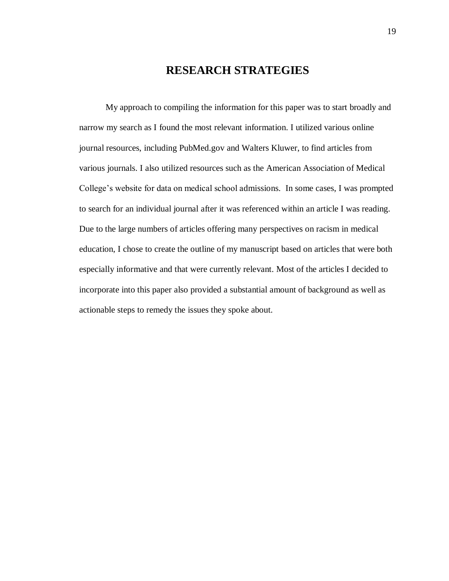## **RESEARCH STRATEGIES**

My approach to compiling the information for this paper was to start broadly and narrow my search as I found the most relevant information. I utilized various online journal resources, including PubMed.gov and Walters Kluwer, to find articles from various journals. I also utilized resources such as the American Association of Medical College's website for data on medical school admissions. In some cases, I was prompted to search for an individual journal after it was referenced within an article I was reading. Due to the large numbers of articles offering many perspectives on racism in medical education, I chose to create the outline of my manuscript based on articles that were both especially informative and that were currently relevant. Most of the articles I decided to incorporate into this paper also provided a substantial amount of background as well as actionable steps to remedy the issues they spoke about.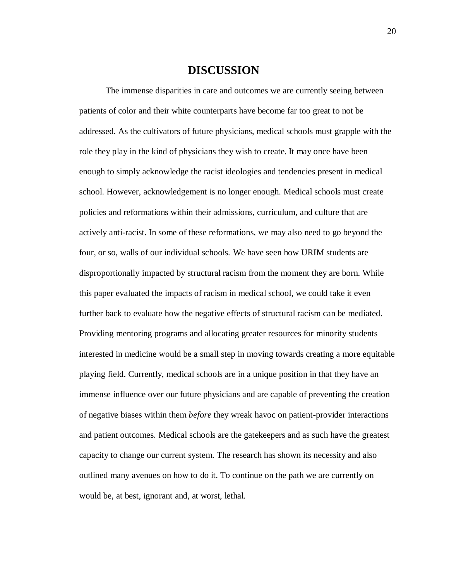### **DISCUSSION**

The immense disparities in care and outcomes we are currently seeing between patients of color and their white counterparts have become far too great to not be addressed. As the cultivators of future physicians, medical schools must grapple with the role they play in the kind of physicians they wish to create. It may once have been enough to simply acknowledge the racist ideologies and tendencies present in medical school. However, acknowledgement is no longer enough. Medical schools must create policies and reformations within their admissions, curriculum, and culture that are actively anti-racist. In some of these reformations, we may also need to go beyond the four, or so, walls of our individual schools. We have seen how URIM students are disproportionally impacted by structural racism from the moment they are born. While this paper evaluated the impacts of racism in medical school, we could take it even further back to evaluate how the negative effects of structural racism can be mediated. Providing mentoring programs and allocating greater resources for minority students interested in medicine would be a small step in moving towards creating a more equitable playing field. Currently, medical schools are in a unique position in that they have an immense influence over our future physicians and are capable of preventing the creation of negative biases within them *before* they wreak havoc on patient-provider interactions and patient outcomes. Medical schools are the gatekeepers and as such have the greatest capacity to change our current system. The research has shown its necessity and also outlined many avenues on how to do it. To continue on the path we are currently on would be, at best, ignorant and, at worst, lethal.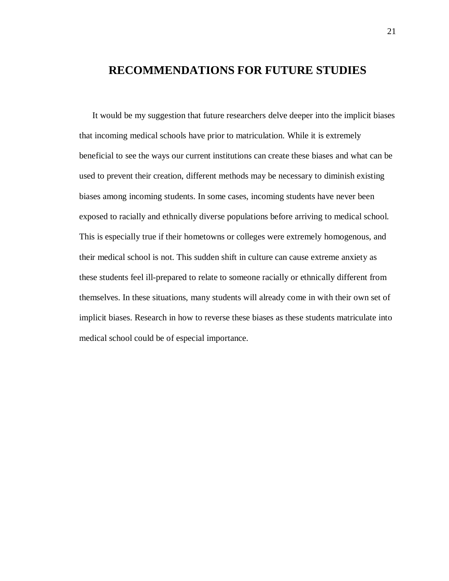## **RECOMMENDATIONS FOR FUTURE STUDIES**

It would be my suggestion that future researchers delve deeper into the implicit biases that incoming medical schools have prior to matriculation. While it is extremely beneficial to see the ways our current institutions can create these biases and what can be used to prevent their creation, different methods may be necessary to diminish existing biases among incoming students. In some cases, incoming students have never been exposed to racially and ethnically diverse populations before arriving to medical school. This is especially true if their hometowns or colleges were extremely homogenous, and their medical school is not. This sudden shift in culture can cause extreme anxiety as these students feel ill-prepared to relate to someone racially or ethnically different from themselves. In these situations, many students will already come in with their own set of implicit biases. Research in how to reverse these biases as these students matriculate into medical school could be of especial importance.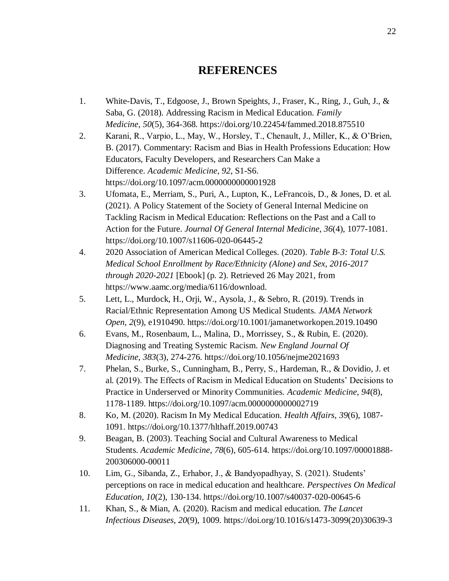## **REFERENCES**

- 1. White-Davis, T., Edgoose, J., Brown Speights, J., Fraser, K., Ring, J., Guh, J., & Saba, G. (2018). Addressing Racism in Medical Education. *Family Medicine*, *50*(5), 364-368. https://doi.org/10.22454/fammed.2018.875510
- 2. Karani, R., Varpio, L., May, W., Horsley, T., Chenault, J., Miller, K., & O'Brien, B. (2017). Commentary: Racism and Bias in Health Professions Education: How Educators, Faculty Developers, and Researchers Can Make a Difference. *Academic Medicine*, *92*, S1-S6. https://doi.org/10.1097/acm.0000000000001928
- 3. Ufomata, E., Merriam, S., Puri, A., Lupton, K., LeFrancois, D., & Jones, D. et al. (2021). A Policy Statement of the Society of General Internal Medicine on Tackling Racism in Medical Education: Reflections on the Past and a Call to Action for the Future. *Journal Of General Internal Medicine*, *36*(4), 1077-1081. https://doi.org/10.1007/s11606-020-06445-2
- 4. 2020 Association of American Medical Colleges. (2020). *Table B-3: Total U.S. Medical School Enrollment by Race/Ethnicity (Alone) and Sex, 2016-2017 through 2020-2021* [Ebook] (p. 2). Retrieved 26 May 2021, from https://www.aamc.org/media/6116/download.
- 5. Lett, L., Murdock, H., Orji, W., Aysola, J., & Sebro, R. (2019). Trends in Racial/Ethnic Representation Among US Medical Students. *JAMA Network Open*, *2*(9), e1910490. https://doi.org/10.1001/jamanetworkopen.2019.10490
- 6. Evans, M., Rosenbaum, L., Malina, D., Morrissey, S., & Rubin, E. (2020). Diagnosing and Treating Systemic Racism. *New England Journal Of Medicine*, *383*(3), 274-276. https://doi.org/10.1056/nejme2021693
- 7. Phelan, S., Burke, S., Cunningham, B., Perry, S., Hardeman, R., & Dovidio, J. et al. (2019). The Effects of Racism in Medical Education on Students' Decisions to Practice in Underserved or Minority Communities. *Academic Medicine*, *94*(8), 1178-1189. https://doi.org/10.1097/acm.0000000000002719
- 8. Ko, M. (2020). Racism In My Medical Education. *Health Affairs*, *39*(6), 1087- 1091. https://doi.org/10.1377/hlthaff.2019.00743
- 9. Beagan, B. (2003). Teaching Social and Cultural Awareness to Medical Students. *Academic Medicine*, *78*(6), 605-614. https://doi.org/10.1097/00001888- 200306000-00011
- 10. Lim, G., Sibanda, Z., Erhabor, J., & Bandyopadhyay, S. (2021). Students' perceptions on race in medical education and healthcare. *Perspectives On Medical Education*, *10*(2), 130-134. https://doi.org/10.1007/s40037-020-00645-6
- 11. Khan, S., & Mian, A. (2020). Racism and medical education. *The Lancet Infectious Diseases*, *20*(9), 1009. https://doi.org/10.1016/s1473-3099(20)30639-3